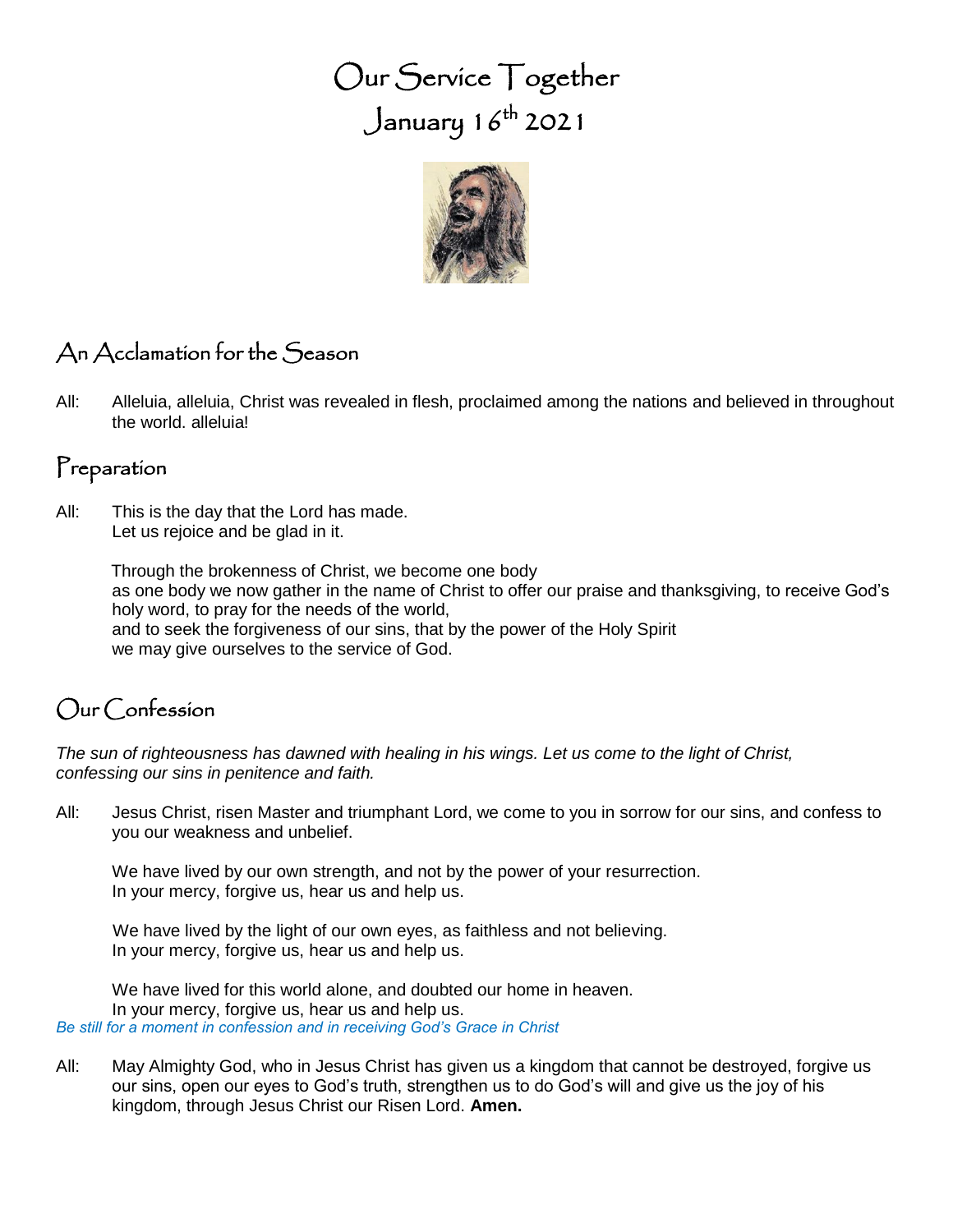# Our Service Together  $\int$ anuary 16<sup>th</sup> 2021



# An Acclamation for the Season

All: Alleluia, alleluia, Christ was revealed in flesh, proclaimed among the nations and believed in throughout the world. alleluia!

## Preparation

All: This is the day that the Lord has made. Let us rejoice and be glad in it.

> Through the brokenness of Christ, we become one body as one body we now gather in the name of Christ to offer our praise and thanksgiving, to receive God's holy word, to pray for the needs of the world, and to seek the forgiveness of our sins, that by the power of the Holy Spirit we may give ourselves to the service of God.

## Our Confession

*The sun of righteousness has dawned with healing in his wings. Let us come to the light of Christ, confessing our sins in penitence and faith.*

All: Jesus Christ, risen Master and triumphant Lord, we come to you in sorrow for our sins, and confess to you our weakness and unbelief.

We have lived by our own strength, and not by the power of your resurrection. In your mercy, forgive us, hear us and help us.

We have lived by the light of our own eyes, as faithless and not believing. In your mercy, forgive us, hear us and help us.

We have lived for this world alone, and doubted our home in heaven. In your mercy, forgive us, hear us and help us. *Be still for a moment in confession and in receiving God's Grace in Christ*

All: May Almighty God, who in Jesus Christ has given us a kingdom that cannot be destroyed, forgive us our sins, open our eyes to God's truth, strengthen us to do God's will and give us the joy of his kingdom, through Jesus Christ our Risen Lord. **Amen.**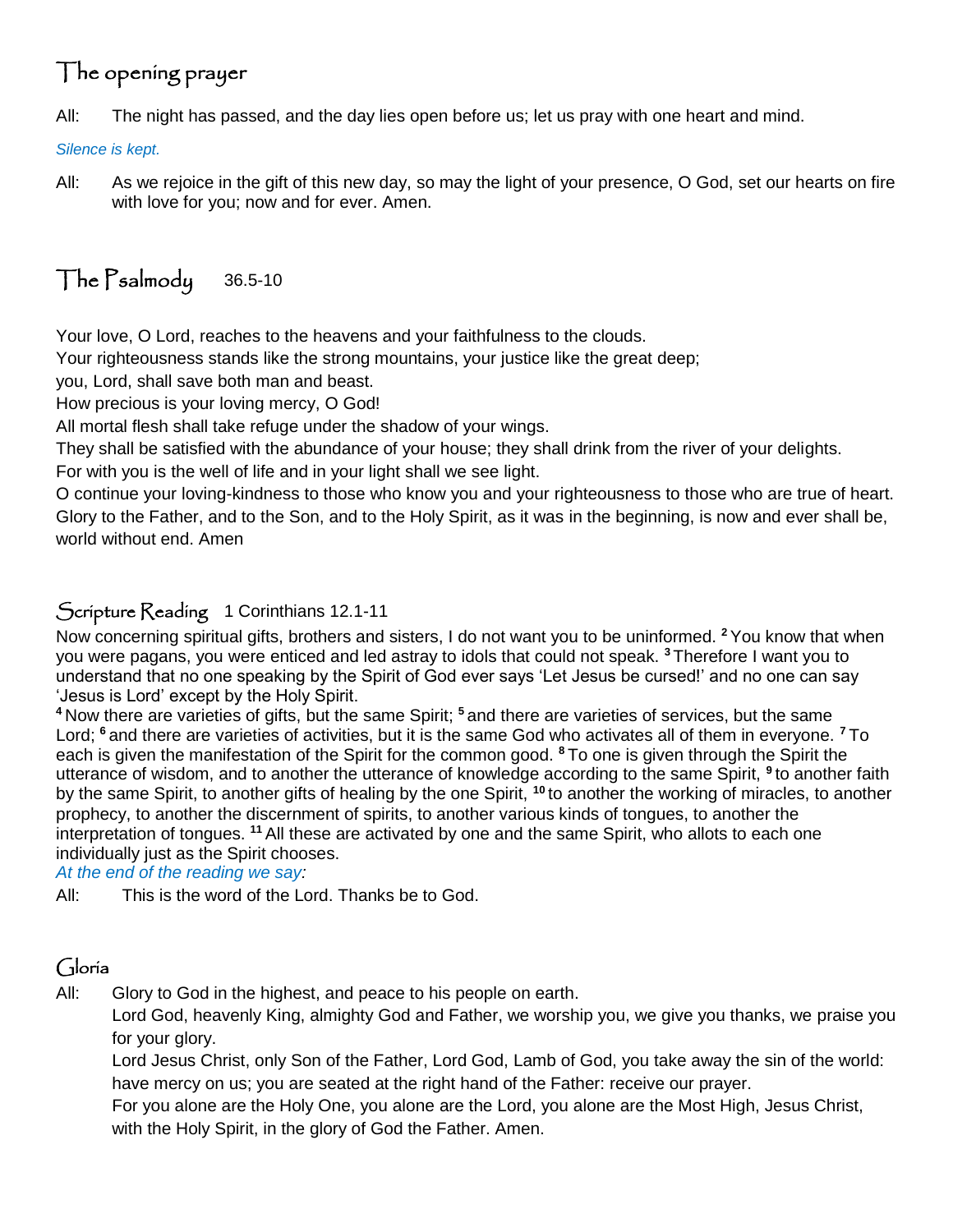# The opening prayer

All: The night has passed, and the day lies open before us; let us pray with one heart and mind.

*Silence is kept.*

All: As we rejoice in the gift of this new day, so may the light of your presence, O God, set our hearts on fire with love for you; now and for ever. Amen.

# The Psalmody 36.5-10

Your love, O Lord, reaches to the heavens and your faithfulness to the clouds.

Your righteousness stands like the strong mountains, your justice like the great deep;

you, Lord, shall save both man and beast.

How precious is your loving mercy, O God!

All mortal flesh shall take refuge under the shadow of your wings.

They shall be satisfied with the abundance of your house; they shall drink from the river of your delights.

For with you is the well of life and in your light shall we see light.

O continue your loving-kindness to those who know you and your righteousness to those who are true of heart. Glory to the Father, and to the Son, and to the Holy Spirit, as it was in the beginning, is now and ever shall be, world without end. Amen

## Scripture Reading 1 Corinthians 12.1-11

Now concerning spiritual gifts, brothers and sisters, I do not want you to be uninformed. **<sup>2</sup>** You know that when you were pagans, you were enticed and led astray to idols that could not speak. **<sup>3</sup>** Therefore I want you to understand that no one speaking by the Spirit of God ever says 'Let Jesus be cursed!' and no one can say 'Jesus is Lord' except by the Holy Spirit.

**<sup>4</sup>** Now there are varieties of gifts, but the same Spirit; **<sup>5</sup>** and there are varieties of services, but the same Lord; **<sup>6</sup>** and there are varieties of activities, but it is the same God who activates all of them in everyone. **<sup>7</sup>** To each is given the manifestation of the Spirit for the common good. **<sup>8</sup>** To one is given through the Spirit the utterance of wisdom, and to another the utterance of knowledge according to the same Spirit, <sup>9</sup> to another faith by the same Spirit, to another gifts of healing by the one Spirit, **<sup>10</sup>** to another the working of miracles, to another prophecy, to another the discernment of spirits, to another various kinds of tongues, to another the interpretation of tongues. **<sup>11</sup>** All these are activated by one and the same Spirit, who allots to each one individually just as the Spirit chooses.

*At the end of the reading we say:*

All: This is the word of the Lord. Thanks be to God.

## Gloria

All: Glory to God in the highest, and peace to his people on earth.

Lord God, heavenly King, almighty God and Father, we worship you, we give you thanks, we praise you for your glory.

Lord Jesus Christ, only Son of the Father, Lord God, Lamb of God, you take away the sin of the world: have mercy on us; you are seated at the right hand of the Father: receive our prayer.

For you alone are the Holy One, you alone are the Lord, you alone are the Most High, Jesus Christ, with the Holy Spirit, in the glory of God the Father. Amen.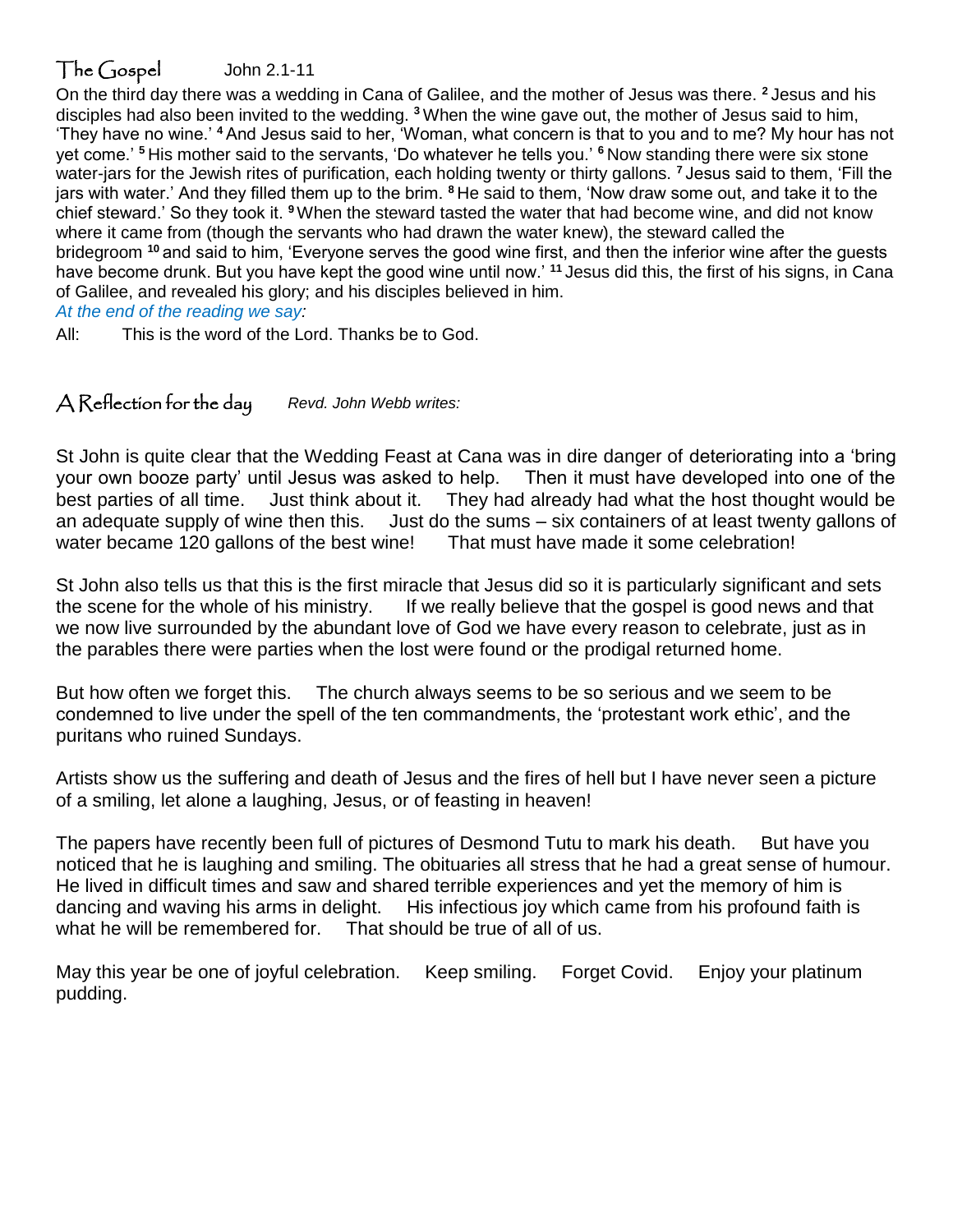### The Gospel John 2.1-11

On the third day there was a wedding in Cana of Galilee, and the mother of Jesus was there. **<sup>2</sup>** Jesus and his disciples had also been invited to the wedding. **<sup>3</sup>** When the wine gave out, the mother of Jesus said to him, 'They have no wine.' **<sup>4</sup>** And Jesus said to her, 'Woman, what concern is that to you and to me? My hour has not yet come.' **<sup>5</sup>** His mother said to the servants, 'Do whatever he tells you.' **<sup>6</sup>** Now standing there were six stone water-jars for the Jewish rites of purification, each holding twenty or thirty gallons. **<sup>7</sup>** Jesus said to them, 'Fill the jars with water.' And they filled them up to the brim. **<sup>8</sup>** He said to them, 'Now draw some out, and take it to the chief steward.' So they took it. **<sup>9</sup>**When the steward tasted the water that had become wine, and did not know where it came from (though the servants who had drawn the water knew), the steward called the bridegroom **<sup>10</sup>** and said to him, 'Everyone serves the good wine first, and then the inferior wine after the guests have become drunk. But you have kept the good wine until now.' **<sup>11</sup>** Jesus did this, the first of his signs, in Cana of Galilee, and revealed his glory; and his disciples believed in him.

*At the end of the reading we say:*

All: This is the word of the Lord. Thanks be to God.

#### A Reflection for the day *Revd. John Webb writes:*

St John is quite clear that the Wedding Feast at Cana was in dire danger of deteriorating into a 'bring your own booze party' until Jesus was asked to help. Then it must have developed into one of the best parties of all time. Just think about it. They had already had what the host thought would be an adequate supply of wine then this. Just do the sums – six containers of at least twenty gallons of water be<br>water became 120 gallons of the best wine! That must have made it some celebration! water became 120 gallons of the best wine!

St John also tells us that this is the first miracle that Jesus did so it is particularly significant and sets the scene for the whole of his ministry. If we really believe that the gospel is good news and that we now live surrounded by the abundant love of God we have every reason to celebrate, just as in the parables there were parties when the lost were found or the prodigal returned home.

But how often we forget this. The church always seems to be so serious and we seem to be condemned to live under the spell of the ten commandments, the 'protestant work ethic', and the puritans who ruined Sundays.

Artists show us the suffering and death of Jesus and the fires of hell but I have never seen a picture of a smiling, let alone a laughing, Jesus, or of feasting in heaven!

The papers have recently been full of pictures of Desmond Tutu to mark his death. But have you noticed that he is laughing and smiling. The obituaries all stress that he had a great sense of humour. He lived in difficult times and saw and shared terrible experiences and yet the memory of him is dancing and waving his arms in delight. His infectious joy which came from his profound faith is what he will be remembered for. That should be true of all of us.

May this year be one of joyful celebration. Keep smiling. Forget Covid. Enjoy your platinum pudding.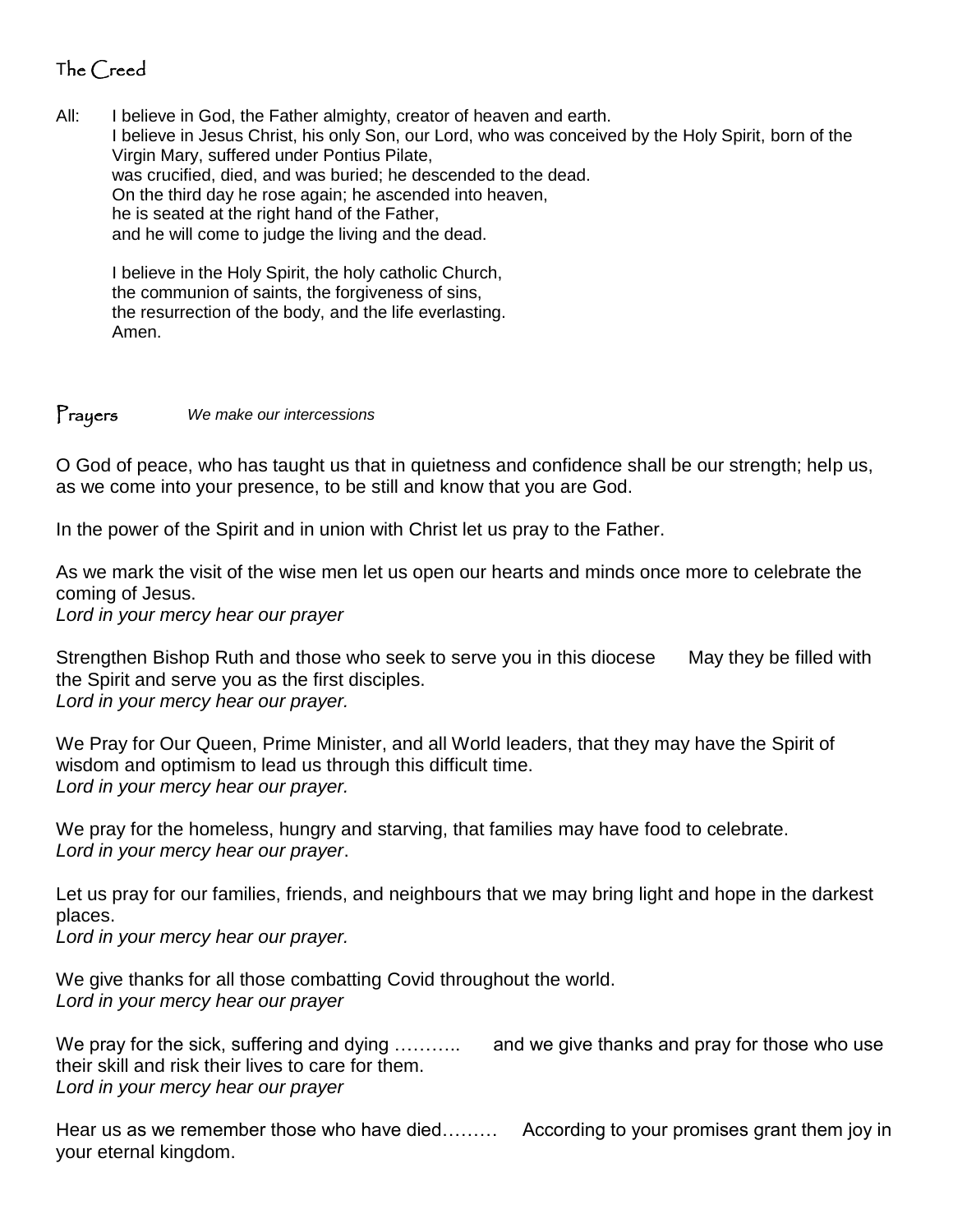## The Creed

All: I believe in God, the Father almighty, creator of heaven and earth. I believe in Jesus Christ, his only Son, our Lord, who was conceived by the Holy Spirit, born of the Virgin Mary, suffered under Pontius Pilate, was crucified, died, and was buried; he descended to the dead. On the third day he rose again; he ascended into heaven, he is seated at the right hand of the Father, and he will come to judge the living and the dead.

I believe in the Holy Spirit, the holy catholic Church, the communion of saints, the forgiveness of sins, the resurrection of the body, and the life everlasting. Amen.

#### Prayers *We make our intercessions*

O God of peace, who has taught us that in quietness and confidence shall be our strength; help us, as we come into your presence, to be still and know that you are God.

In the power of the Spirit and in union with Christ let us pray to the Father.

As we mark the visit of the wise men let us open our hearts and minds once more to celebrate the coming of Jesus.

*Lord in your mercy hear our prayer*

Strengthen Bishop Ruth and those who seek to serve you in this diocese May they be filled with the Spirit and serve you as the first disciples. *Lord in your mercy hear our prayer.* 

We Pray for Our Queen, Prime Minister, and all World leaders, that they may have the Spirit of wisdom and optimism to lead us through this difficult time. *Lord in your mercy hear our prayer.*

We pray for the homeless, hungry and starving, that families may have food to celebrate. *Lord in your mercy hear our prayer*.

Let us pray for our families, friends, and neighbours that we may bring light and hope in the darkest places.

*Lord in your mercy hear our prayer.*

We give thanks for all those combatting Covid throughout the world. *Lord in your mercy hear our prayer*

We pray for the sick, suffering and dying ……….. and we give thanks and pray for those who use their skill and risk their lives to care for them. *Lord in your mercy hear our prayer*

Hear us as we remember those who have died……… According to your promises grant them joy in your eternal kingdom.